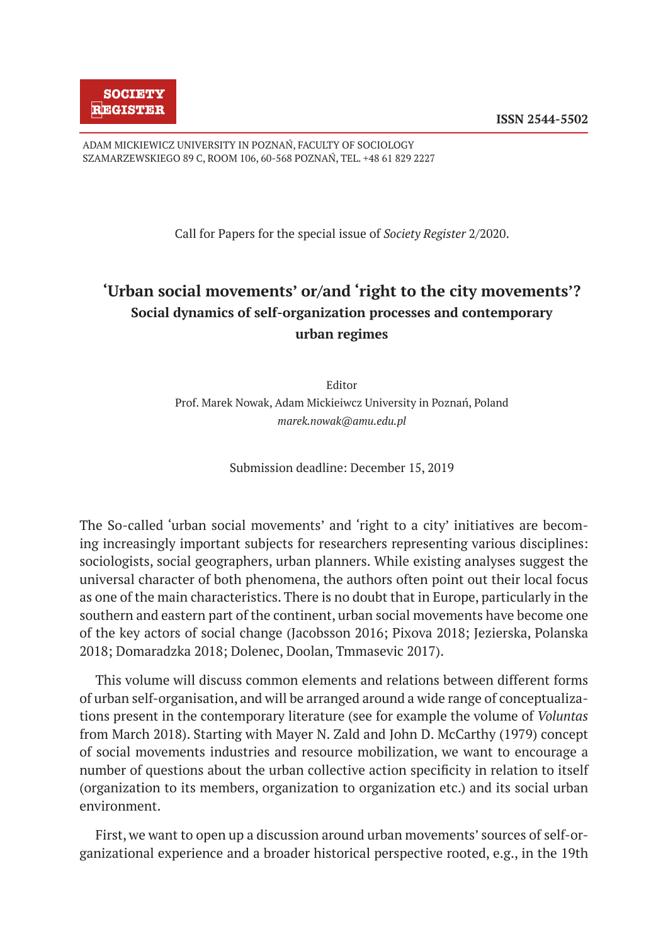ADAM MICKIEWICZ UNIVERSITY IN POZNAŃ, FACULTY OF SOCIOLOGY SZAMARZEWSKIEGO 89 C, ROOM 106, 60-568 POZNAŃ, TEL. +48 61 829 2227

Call for Papers for the special issue of *Society Register* 2/2020.

## **'Urban social movements' or/and 'right to the city movements'? Social dynamics of self-organization processes and contemporary urban regimes**

Editor Prof. Marek Nowak, Adam Mickieiwcz University in Poznań, Poland *marek.nowak@amu.edu.pl* 

Submission deadline: December 15, 2019

The So-called 'urban social movements' and 'right to a city' initiatives are becoming increasingly important subjects for researchers representing various disciplines: sociologists, social geographers, urban planners. While existing analyses suggest the universal character of both phenomena, the authors often point out their local focus as one of the main characteristics. There is no doubt that in Europe, particularly in the southern and eastern part of the continent, urban social movements have become one of the key actors of social change (Jacobsson 2016; Pixova 2018; Jezierska, Polanska 2018; Domaradzka 2018; Dolenec, Doolan, Tmmasevic 2017).

This volume will discuss common elements and relations between different forms of urban self-organisation, and will be arranged around a wide range of conceptualizations present in the contemporary literature (see for example the volume of *Voluntas* from March 2018). Starting with Mayer N. Zald and John D. McCarthy (1979) concept of social movements industries and resource mobilization, we want to encourage a number of questions about the urban collective action specificity in relation to itself (organization to its members, organization to organization etc.) and its social urban environment.

First, we want to open up a discussion around urban movements' sources of self-organizational experience and a broader historical perspective rooted, e.g., in the 19th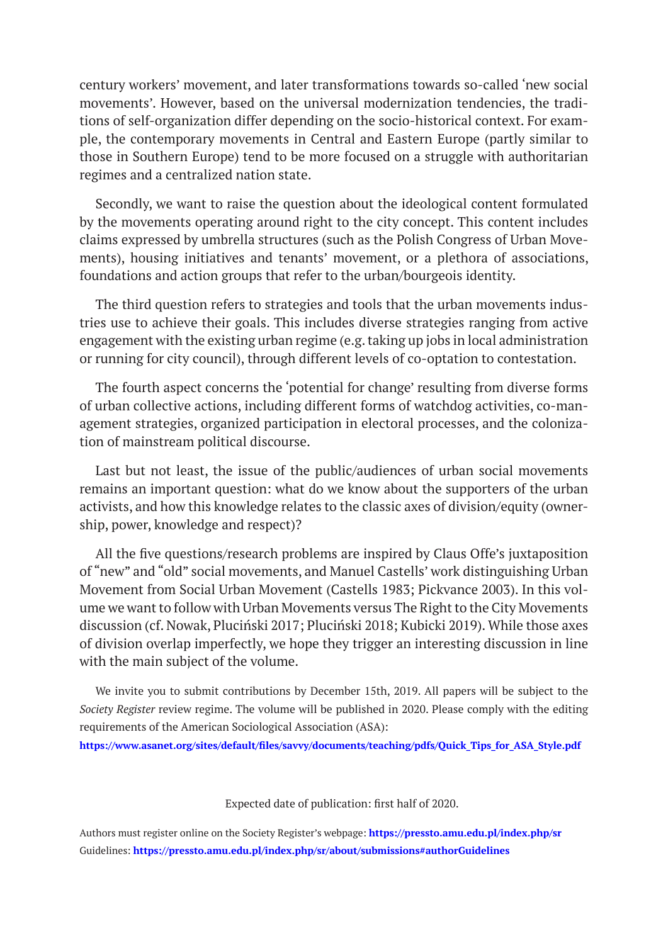century workers' movement, and later transformations towards so-called 'new social movements'. However, based on the universal modernization tendencies, the traditions of self-organization differ depending on the socio-historical context. For example, the contemporary movements in Central and Eastern Europe (partly similar to those in Southern Europe) tend to be more focused on a struggle with authoritarian regimes and a centralized nation state.

Secondly, we want to raise the question about the ideological content formulated by the movements operating around right to the city concept. This content includes claims expressed by umbrella structures (such as the Polish Congress of Urban Movements), housing initiatives and tenants' movement, or a plethora of associations, foundations and action groups that refer to the urban/bourgeois identity.

The third question refers to strategies and tools that the urban movements industries use to achieve their goals. This includes diverse strategies ranging from active engagement with the existing urban regime (e.g. taking up jobs in local administration or running for city council), through different levels of co-optation to contestation.

The fourth aspect concerns the 'potential for change' resulting from diverse forms of urban collective actions, including different forms of watchdog activities, co-management strategies, organized participation in electoral processes, and the colonization of mainstream political discourse.

Last but not least, the issue of the public/audiences of urban social movements remains an important question: what do we know about the supporters of the urban activists, and how this knowledge relates to the classic axes of division/equity (ownership, power, knowledge and respect)?

All the five questions/research problems are inspired by Claus Offe's juxtaposition of "new" and "old" social movements, and Manuel Castells' work distinguishing Urban Movement from Social Urban Movement (Castells 1983; Pickvance 2003). In this volume we want to follow with Urban Movements versus The Right to the City Movements discussion (cf. Nowak, Pluciński 2017; Pluciński 2018; Kubicki 2019). While those axes of division overlap imperfectly, we hope they trigger an interesting discussion in line with the main subject of the volume.

We invite you to submit contributions by December 15th, 2019. All papers will be subject to the *Society Register* review regime. The volume will be published in 2020. Please comply with the editing requirements of the American Sociological Association (ASA):

**https://www.asanet.org/sites/default/files/savvy/documents/teaching/pdfs/Quick\_Tips\_for\_ASA\_Style.pdf**

Expected date of publication: first half of 2020.

Authors must register online on the Society Register's webpage: **https://pressto.amu.edu.pl/index.php/sr** Guidelines: **https://pressto.amu.edu.pl/index.php/sr/about/submissions#authorGuidelines**